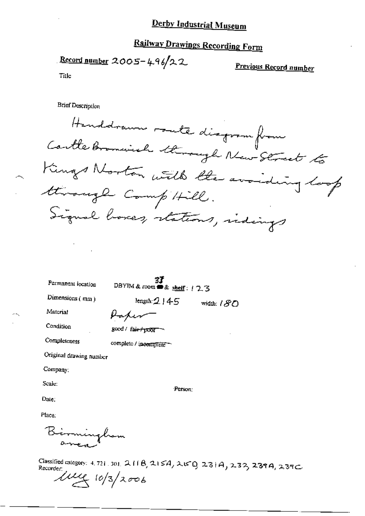# **Railway Drawings Recording Form**

Record number 2005-496/22

Previous Record number

Title

**Brief Description** 

Handdrawn route disgram from Cartle Bromwich through New Street to Kings Norton with the avoiding look through Comp'till. Signal boxes, stations, indings

Permanent location

 $\overline{3}$ <br>DBYIM & room  $\triangle$  shelf:  $17.3$ 

length:  $2145$ 

Dimensions (mm)

width:  $180$ 

Material

Hapen

Condition

Completeness

good / fair+poor

complete / incomplete

Original drawing number

Company:

Scale:

Person:

Date:

Place:

Birminghom

Classified category: 4.721.301.211B,215A,215D,237B,237A,237C Recorder:

 $\mu$ eg 10/3/2006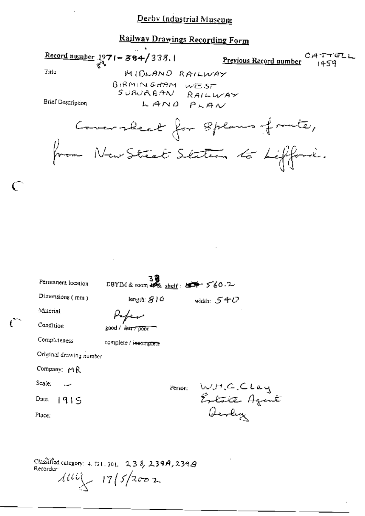## Railway Drawings Recording Form

 $\frac{\text{Record number}}{3^3}$  1971 - 384/338.1 CATTELL Previous Record number  $1459$ Title MIDLAND RAILWAY BIRMINGHAM WEST SURUABAN I  $R$ AILWAY **Brief Description** LAND PLAN Comerabeat for 8 plans of route, from New Street Staten to Lifford.

| Permanent location      | $39$<br>DBYIM & room $49\%$ shelf: $497 - 560.2$ |         |                             |  |
|-------------------------|--------------------------------------------------|---------|-----------------------------|--|
| Dimensions (mm)         | length: $910$                                    |         | width: $540$                |  |
| Material                |                                                  |         |                             |  |
| Condition               | good / f <del>air/poor</del>                     |         |                             |  |
| Completeness            | complete / incomplete                            |         |                             |  |
| Original drawing number |                                                  |         |                             |  |
| Company: MR             |                                                  |         |                             |  |
| Scale.                  |                                                  | Person: |                             |  |
| Date. $1915$            |                                                  |         | W.H.C.Clay<br>Extrite Azent |  |
| Place:                  |                                                  |         | Devly                       |  |
|                         |                                                  |         |                             |  |

Classified category: 4, 721, 301, 238, 239A, 239A Recorder:  $414\frac{1}{4}$   $17\frac{1}{5}$   $2002$ 

 $\mathcal{C}$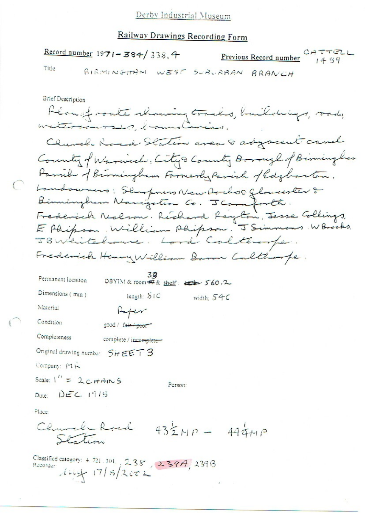## Railway Drawings Recording Form

Record number 1971-384/338.4 CATTELL Previous Record number  $14.59$ Title BIRMINGHAM WEST SUBURBAN BRANCH **Brief Description** Heavest monte rhoming tracks, buildings, roads, watercourses brunderie Church Road Station area 8 adyacent cand County of Warwich: City & County Borough of Birminghas Parish of Birmingham Farmerly Parish of Edglianten. Landaumers: Sharpners New Dochos Gloweester & Birmingham Nanigation Co. JComforth. Frederick Nelson. Richard Reyton, Jesse Collings, E Phipson, William Phipson. J Simmons. W Brooks. JBWeitelause. Lord Calteroope. Frederick Henry William Basen Calthorpe. Permanent location DBYIM & room # & shelf: 2 560.2 Dimensions (mm) length: STC width:  $54c$ Material  $H + V$ Condition good / fair / poor Completeness complete / incomplete-Original drawing number  $5$ ir EET3 Company: MR Scale:  $1'' = 2c$   $\pi$   $\hat{m}$  S Person: Date:  $DEC$  1915 Place: Church Road  $432MP - 444MP$ Station

Classified category: 4.721.301., 238, 239A, 239B Recorder  $11/5/2002$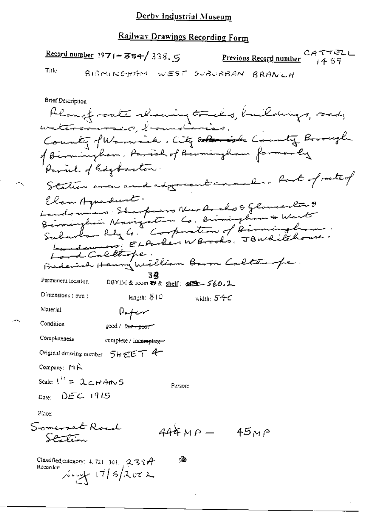### Railway Drawings Recording Form

CATTELL Record number  $1971 - 384 / 338.5$ Previous Record number  $14.57$ Title BIRMINGHAM WEST SURURBAN BRANCH **Brief Description** Plangt sate showing tracks, buildings, rad, versonservation, to connect are .<br>County of Warnsick. City Dolor is the County Borough

of Birmingham, Parish of Birmingham formerly Parul of Edgbarton. Station area and advancent consuler. Port of route of Elan Aguadunt. Landonnes, Sharpners New Archo & Glomeerlar & Landswers; ELAnker WBrooks, JBWditchouse. Lord Calltope.<br>Frederich Henry William Baron Caltairope. 39 Permanent location DBYIM & room 静 & shelf: 40±-560.2 Dimensions (mm) length: STC width:  $540$ Material Aufer Condition good / fa<del>n : poor</del> Completeness complete / incomplete-Original drawing number 5HEET 4 Company:  $M \hat{K}$ Scale:  $1'' = 2c + A$  m S Person:  $_{\text{Date}}$   $\rightarrow$  DE C  $\rightarrow$  1975 Place: Somerset Road  $444MP - 45MP$ Santin

ंडे Classified category:  $+721$ ,  $301$ ,  $-2$ ,  $3$ ,  $4$ Recorder  $\mu$   $\frac{1}{\sqrt{7}}$  17/5/2002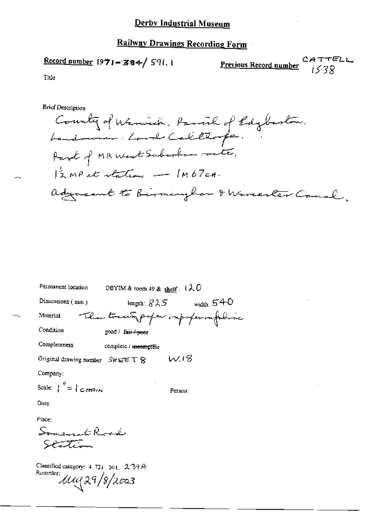## Railway Drawings Recording Form

## Record number  $1971 - 384 / 591.1$

Previous Record number  $1538$ 

Title

**Brief Description** 

County of Warwich. Parcial of Edglaston.<br>Landowner: Lord Calillorpe. Part of MR West Sabarban route.  $12 MP$  at station - IM67cH. adjacent to birmingham & Warrester Canal,

| Permanent location                                | DBYIM & room 49 & shelf: $120$              |                                  |
|---------------------------------------------------|---------------------------------------------|----------------------------------|
| Dimensions (mm)                                   | length: $\mathcal{S}\mathcal{A}\mathcal{S}$ | width: $540$                     |
| Material                                          |                                             | This trace paper imporporantelia |
| Condition                                         | good / fa <del>ir / poo</del> r             |                                  |
| Completeness                                      | complete / incomplete                       |                                  |
| Original drawing number $S$ #EET $S$              |                                             | W.18                             |
| Company:                                          |                                             |                                  |
| Scale: $\int_0^{\theta} = \int C d\theta d\theta$ |                                             | Person:                          |
|                                                   |                                             |                                  |

Date:

Place:

Somerset Road Station

Classified category: 4, 721, 301, 239A Rucorder: Muy 29/8/2003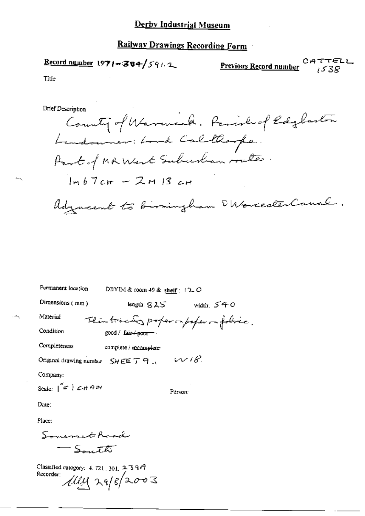#### **Railway Drawings Recording Form**

$$
\underline{\text{Record number 1971} \div 384 / \text{59} \land 2}
$$

TTELL Previous Record number  $15.38$ 

Title

**Brief Description** 

County of Warmick. Parish of Edglaston Landouner: Lord Callarpe. Part of MR West Suburban routes.  $Imb7cm - 2m13cm$ Adjacent to Birmingham SWorcesterCanal.

| Permanent location                                             | DBYIM & room 49 & shelf: $12$ -O                 |            |
|----------------------------------------------------------------|--------------------------------------------------|------------|
| Dimensions (mm)                                                | leagth: $9.25$                                   | wid⊔n: 540 |
| Material                                                       | Thinkied proper imperfer on folice.              |            |
| Condition                                                      | good / fair $\leftrightarrow$ poor $\rightarrow$ |            |
| Completeness                                                   | complete / incomplete-                           |            |
| Original drawing number $S H \in \mathbb{F} \cap \mathbb{R}$ . | W18                                              |            |
| Company:                                                       |                                                  |            |
| Scale: $\vert \leq \vert$ CHAIN                                | Person:                                          |            |
| Date:                                                          |                                                  |            |
|                                                                |                                                  |            |

Place:

Someon threal - South

Classified category: 4, 721, 301,  $2 \cdot 3 \cdot 9 \cdot 7$ Recorder: *Ally* 29/8/2003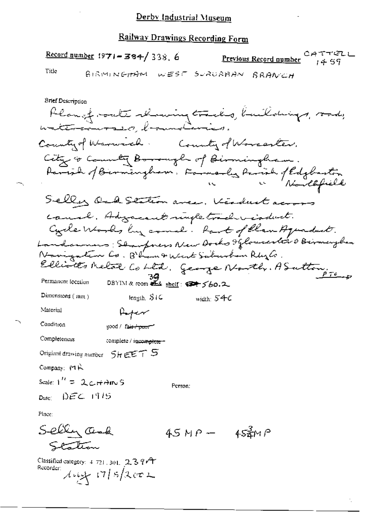### Railway Drawings Recording Form

Record number  $1971 - 384 / 338$ , 6

CATTELL Previous Record number 1457

Title

BIRMINGHAM WEST SURURBAN BRANCH

**Brief Description** Plansfronte showing tracks, buildings, rods,<br>watercourses, bannolivies. County of Warnich. County of Worcaster. City & County Borough of Birmingham. Parish of Birmingham. Farmerly Parish of Edglartin Selly Ock Station area, Kindust across canal. Advancent myle tradivisionat. Cycle Works by come . Part of Clan Aquadust. Landcumens; Shanfners New Docks Iflorenester & Birmaryhan Novigation Co. B'han & West Saburban Rhylo. Elliotts Metal Cobtil, George North, ASutton,  $39$ <br>DBYIM & room  $4.4$  shelf:  $47/60.2$ Permanent focation Dimensions  $(mn)$ length, SIG width:  $54c$ Material Aper Condition good / fair poor Completeness complete / incomplete-Original drawing number  $5$   $\overline{r}$   $\in$   $\overline{r}$   $\overline{r}$   $\overline{S}$ Company: PIR Scale:  $1'' = 2c$  if  $\theta$  in S Person:  $p_{\text{unc}} = |\hat{p}| \mathcal{EL} = 1|^2/5$ Place:

Selly Oak  $45MP 45$ zm P Station

Classified category:  $4.721$  ,  $301$ ,  $2.3.9$  $4.7$ Recorder:  $444.175/2002$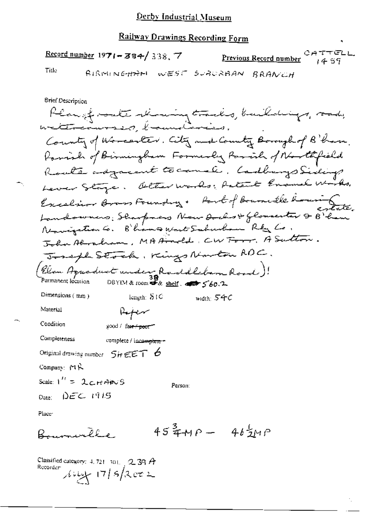# Railway Drawings Recording Form

|                            | $\frac{\text{Record number}}{1971 - 384}$ 338.7 |                                               |  | <u>Previous Record number</u>                                                                                                                                                                                                                                                                                       | CATTELL<br>1457 |
|----------------------------|-------------------------------------------------|-----------------------------------------------|--|---------------------------------------------------------------------------------------------------------------------------------------------------------------------------------------------------------------------------------------------------------------------------------------------------------------------|-----------------|
| Title                      |                                                 |                                               |  | BIRMINGHAM WEST SURURBAN BRANCH                                                                                                                                                                                                                                                                                     |                 |
| Brief Description<br>- 0.5 |                                                 | <b><i>Company Company Company Company</i></b> |  | $\frac{1}{1}$ $\frac{1}{1}$ $\frac{1}{1}$ $\frac{1}{1}$ $\frac{1}{1}$ $\frac{1}{1}$ $\frac{1}{1}$ $\frac{1}{1}$ $\frac{1}{1}$ $\frac{1}{1}$ $\frac{1}{1}$ $\frac{1}{1}$ $\frac{1}{1}$ $\frac{1}{1}$ $\frac{1}{1}$ $\frac{1}{1}$ $\frac{1}{1}$ $\frac{1}{1}$ $\frac{1}{1}$ $\frac{1}{1}$ $\frac{1}{1}$ $\frac{1}{1}$ |                 |

 $45\frac{3}{4}MP - 46\frac{1}{2}MP$ Bournville

Classified category: 4, 721 701, 239 A<br>Recorder  $\int \int \int \frac{1}{7}$  | 5 | 2 c 2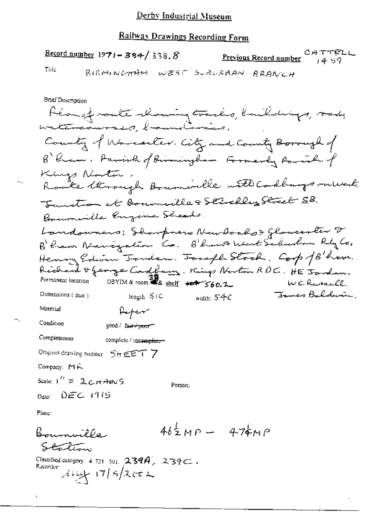#### Railway Drawings Recording Form

Record number  $1971 - 384 / 338.8$ 

Previous Record number

Tirle

BIRMINGHAM WEST SUBURBAN BRANCH

**Brief Description** Alangfracte showing tracks, buildings, sady<br>atenedurass, brownsburies. County of Worcester. City and County Borough of B Ram. Parish of Birmingham Formerly Parish of Kings Norton. Route through Bournoille with Codbays rulet. Sunction at Bournaille & Stirchly Street S.B. Bournaille Engine Sheads. Landowners: Sharpners New Aochst Gloucester F<br>B'ham Navezation Co. B'hano Mert Salusban RigCo. Henry Edwin Tonden. Tosaph Stock. Corp of B'ham. Richard & George Cadbary. Kings Norton RDC. HE Jordan. Permanent focation DBYIM & room #2 shelf +++ 560.2 WCRussall <del>Jam</del>er Baldwin, Dimensions (min) tengin, STC width:  $54C$ Material Afer Condition good / fair / poor" Completeness complete / incomplete Original crawing number SHEET 7 Company:  $MK$ Scale:  $1'' = 2cHANS$ Person:  $_{\text{Date}}$   $_{\text{DEC}}$   $_{\text{19.15}}$ Place:

 $46\frac{1}{2}MP - 474MP$ Bouncillo Station Classified category: 4.721-301.  $2394$ ,  $2392$ .

Recorder  $\lambda$  king  $\sqrt{7/5}/2$  or 2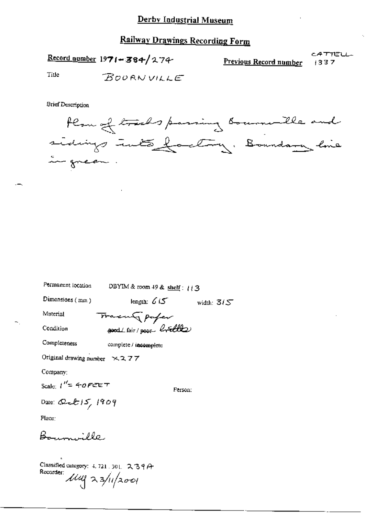## **Railway Drawings Recording Form**

Record number  $1971 - 384/274$ 

CATTELL Previous Record number 1337

Title **BOURNVILLE** 

**Brief Description** 



Permanent location

DBYIM & room 49 & shelf:  $113$ 

Dimensions (mm)

length:  $615$ width:  $3/5$ 

Material

Tracen paper good (fair) poor brille

Condition Completeness

complete / incomplete

Original drawing number  $\times$  277

Company:

$$
Scale: I'' = 40FEE
$$

Person:

Date: Quet  $15/1909$ 

Place:

Bonnville

Classified category: 4, 721, 301,  $239A$ Recorder  $\mu$ <br> $\mu$  23/11/2001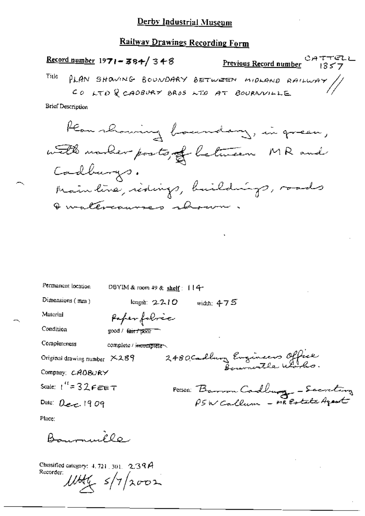## Railway Drawings Recording Form

CATTELL<br>Previous Record number 1357 Record number 1971-384/348 PLAN SHOWING BOUNDARY BETWEEN MIDLAND RAILWAY//<br>CO LTD R CADBURY BROS LTD AT BOURNVILLE Title

**Brief Description** 



| Permanent location           | DBYIM & room 49 & shelf: 114      |
|------------------------------|-----------------------------------|
| Dimensions (mm)              | length: $2210$<br>width: $475$    |
| Material                     | Paper fabric                      |
| Condition                    | good / fair / pour                |
| Completeness                 | complete / incomplete             |
| Original drawing number X289 | 2480 Cadbury Eugeneers Office     |
| Company: CAOBURY             |                                   |
| Scale: $t'' = 32$ FEET       |                                   |
| Date: $0e^{-1909}$           | Person Barron Cadburg - Secretary |

Place:

 $\frac{1}{2}$ 

Classified category:  $4.721, 301, 2.397$ Recorder:  $11446$   $s/7/2002$